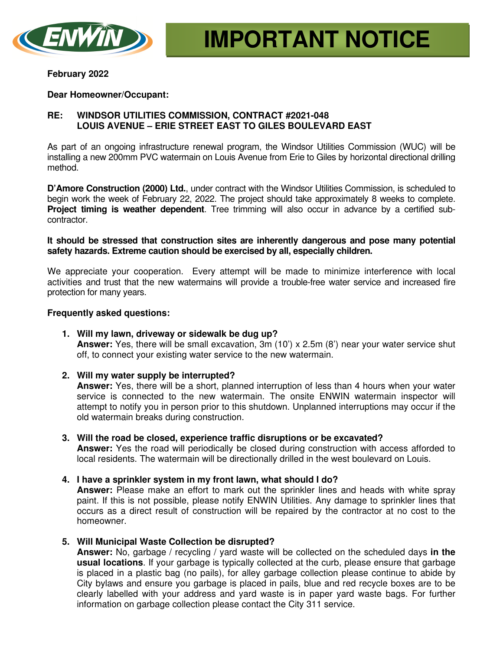

### **February 2022**

## **Dear Homeowner/Occupant:**

# **RE: WINDSOR UTILITIES COMMISSION, CONTRACT #2021-048 LOUIS AVENUE – ERIE STREET EAST TO GILES BOULEVARD EAST**

As part of an ongoing infrastructure renewal program, the Windsor Utilities Commission (WUC) will be installing a new 200mm PVC watermain on Louis Avenue from Erie to Giles by horizontal directional drilling method.

**D'Amore Construction (2000) Ltd.**, under contract with the Windsor Utilities Commission, is scheduled to begin work the week of February 22, 2022. The project should take approximately 8 weeks to complete. **Project timing is weather dependent**. Tree trimming will also occur in advance by a certified subcontractor.

## **It should be stressed that construction sites are inherently dangerous and pose many potential safety hazards. Extreme caution should be exercised by all, especially children.**

We appreciate your cooperation. Every attempt will be made to minimize interference with local activities and trust that the new watermains will provide a trouble-free water service and increased fire protection for many years.

## **Frequently asked questions:**

- **1. Will my lawn, driveway or sidewalk be dug up? Answer:** Yes, there will be small excavation, 3m (10') x 2.5m (8') near your water service shut off, to connect your existing water service to the new watermain.
- **2. Will my water supply be interrupted?**

**Answer:** Yes, there will be a short, planned interruption of less than 4 hours when your water service is connected to the new watermain. The onsite ENWIN watermain inspector will attempt to notify you in person prior to this shutdown. Unplanned interruptions may occur if the old watermain breaks during construction.

- **3. Will the road be closed, experience traffic disruptions or be excavated? Answer:** Yes the road will periodically be closed during construction with access afforded to local residents. The watermain will be directionally drilled in the west boulevard on Louis.
- **4. I have a sprinkler system in my front lawn, what should I do?**

**Answer:** Please make an effort to mark out the sprinkler lines and heads with white spray paint. If this is not possible, please notify ENWIN Utilities. Any damage to sprinkler lines that occurs as a direct result of construction will be repaired by the contractor at no cost to the homeowner.

**5. Will Municipal Waste Collection be disrupted?** 

**Answer:** No, garbage / recycling / yard waste will be collected on the scheduled days **in the usual locations**. If your garbage is typically collected at the curb, please ensure that garbage is placed in a plastic bag (no pails), for alley garbage collection please continue to abide by City bylaws and ensure you garbage is placed in pails, blue and red recycle boxes are to be clearly labelled with your address and yard waste is in paper yard waste bags. For further information on garbage collection please contact the City 311 service.